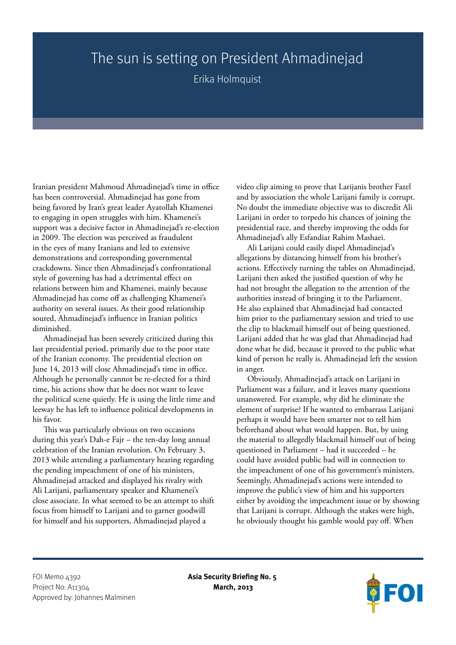## The sun is setting on President Ahmadinejad

Erika Holmquist

Iranian president Mahmoud Ahmadinejad's time in office has been controversial. Ahmadinejad has gone from being favored by Iran's great leader Ayatollah Khamenei to engaging in open struggles with him. Khamenei's support was a decisive factor in Ahmadinejad's re-election in 2009. The election was perceived as fraudulent in the eyes of many Iranians and led to extensive demonstrations and corresponding governmental crackdowns. Since then Ahmadinejad's confrontational style of governing has had a detrimental effect on relations between him and Khamenei, mainly because Ahmadinejad has come off as challenging Khamenei's authority on several issues. As their good relationship soured, Ahmadinejad's influence in Iranian politics diminished.

Ahmadinejad has been severely criticized during this last presidential period, primarily due to the poor state of the Iranian economy. The presidential election on June 14, 2013 will close Ahmadinejad's time in office. Although he personally cannot be re-elected for a third time, his actions show that he does not want to leave the political scene quietly. He is using the little time and leeway he has left to influence political developments in his favor.

This was particularly obvious on two occasions during this year's Dah-e Fajr – the ten-day long annual celebration of the Iranian revolution. On February 3, 2013 while attending a parliamentary hearing regarding the pending impeachment of one of his ministers, Ahmadinejad attacked and displayed his rivalry with Ali Larijani, parliamentary speaker and Khamenei's close associate. In what seemed to be an attempt to shift focus from himself to Larijani and to garner goodwill for himself and his supporters, Ahmadinejad played a

video clip aiming to prove that Larijanis brother Fazel and by association the whole Larijani family is corrupt. No doubt the immediate objective was to discredit Ali Larijani in order to torpedo his chances of joining the presidential race, and thereby improving the odds for Ahmadinejad's ally Esfandiar Rahim Mashaei.

Ali Larijani could easily dispel Ahmadinejad's allegations by distancing himself from his brother's actions. Effectively turning the tables on Ahmadinejad, Larijani then asked the justified question of why he had not brought the allegation to the attention of the authorities instead of bringing it to the Parliament. He also explained that Ahmadinejad had contacted him prior to the parliamentary session and tried to use the clip to blackmail himself out of being questioned. Larijani added that he was glad that Ahmadinejad had done what he did, because it proved to the public what kind of person he really is. Ahmadinejad left the session in anger.

Obviously, Ahmadinejad's attack on Larijani in Parliament was a failure, and it leaves many questions unanswered. For example, why did he eliminate the element of surprise? If he wanted to embarrass Larijani perhaps it would have been smarter not to tell him beforehand about what would happen. But, by using the material to allegedly blackmail himself out of being questioned in Parliament – had it succeeded – he could have avoided public bad will in connection to the impeachment of one of his government's ministers. Seemingly, Ahmadinejad's actions were intended to improve the public's view of him and his supporters either by avoiding the impeachment issue or by showing that Larijani is corrupt. Although the stakes were high, he obviously thought his gamble would pay off. When

FOI Memo 4392 **Asia Security Briefing No. 5** Project No: A11304 **March, 2013** Approved by: Johannes Malminen